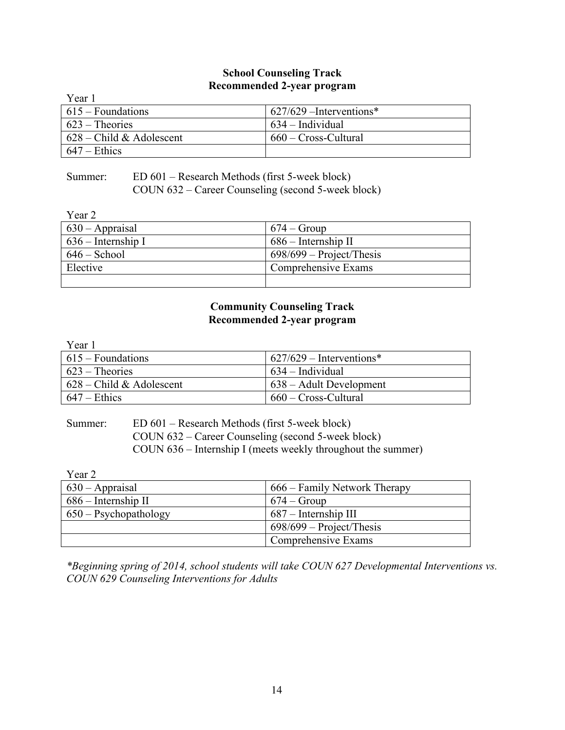#### **School Counseling Track Recommended 2-year program**

| Year 1                     |                           |
|----------------------------|---------------------------|
| $615 - Foundations$        | $627/629$ –Interventions* |
| $623$ – Theories           | $634$ – Individual        |
| $628$ – Child & Adolescent | 660 – Cross-Cultural      |
| $647 -$ Ethics             |                           |

# Summer: ED 601 – Research Methods (first 5-week block) COUN 632 – Career Counseling (second 5-week block)

Year 2

| $1$ Cal $2$          |                            |
|----------------------|----------------------------|
| $630 - Appraisal$    | $674 - Group$              |
| $636$ – Internship I | $686$ – Internship II      |
| $646 -$ School       | $698/699$ – Project/Thesis |
| Elective             | Comprehensive Exams        |
|                      |                            |

# **Community Counseling Track Recommended 2-year program**

| Year 1                     |                             |
|----------------------------|-----------------------------|
| $615 -$ Foundations        | $1627/629 - Interventions*$ |
| $623$ – Theories           | $634 - Individual$          |
| $628$ – Child & Adolescent | 638 – Adult Development     |
| $647 -$ Ethics             | 660 – Cross-Cultural        |

Summer: ED 601 – Research Methods (first 5-week block) COUN 632 – Career Counseling (second 5-week block) COUN 636 – Internship I (meets weekly throughout the summer)

Year 2 630 – Appraisal 666 – Family Network Therapy 686 – Internship II 674 – Group 650 – Psychopathology 687 – Internship III 698/699 – Project/Thesis Comprehensive Exams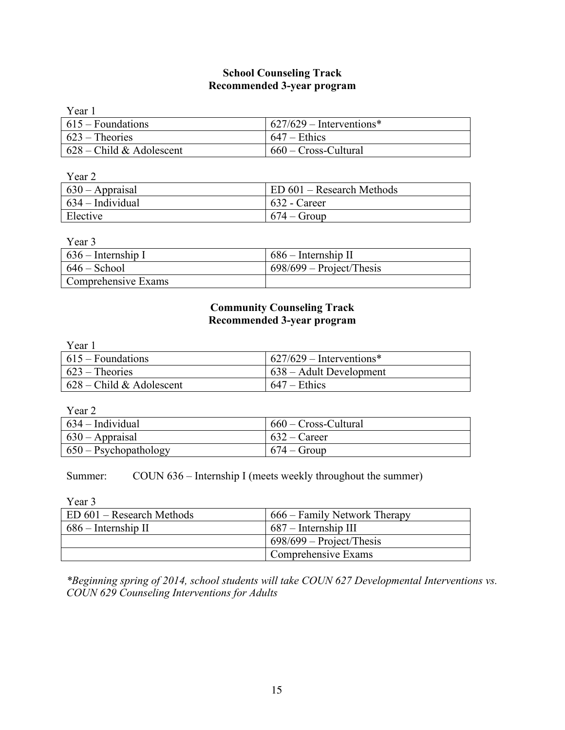# **School Counseling Track Recommended 3-year program**

| Year 1                           |                             |
|----------------------------------|-----------------------------|
| $615 - Foundations$              | $1627/629$ – Interventions* |
| $\sqrt{623}$ – Theories          | $647 -$ Ethics              |
| $\vert$ 628 – Child & Adolescent | 660 – Cross-Cultural        |

Year 2

| $\vert$ 630 – Appraisal  | ED 601 – Research Methods |
|--------------------------|---------------------------|
| $\vert$ 634 – Individual | $632$ - Career            |
| Elective                 | $674 - Group$             |

Year 3

| $\vert$ 636 – Internship I | $686$ – Internship II      |
|----------------------------|----------------------------|
| $646 - School$             | $698/699$ – Project/Thesis |
| Comprehensive Exams        |                            |

# **Community Counseling Track Recommended 3-year program**

| Year 1                     |                                 |
|----------------------------|---------------------------------|
| $615 - Foundations$        | $627/629$ – Interventions*      |
| $623$ – Theories           | $\vert$ 638 – Adult Development |
| $628$ – Child & Adolescent | $647 -$ Ethics                  |

Year 2

| $634 - Individual$            | $660$ – Cross-Cultural |
|-------------------------------|------------------------|
| $630 - Approxi$               | $632 -$ Career         |
| $\vert$ 650 – Psychopathology | $674 - Group$          |

Summer: COUN 636 – Internship I (meets weekly throughout the summer)

Year 3

| ED 601 – Research Methods | 666 – Family Network Therapy |
|---------------------------|------------------------------|
| $686$ – Internship II     | $687 - Internship III$       |
|                           | $698/699$ – Project/Thesis   |
|                           | Comprehensive Exams          |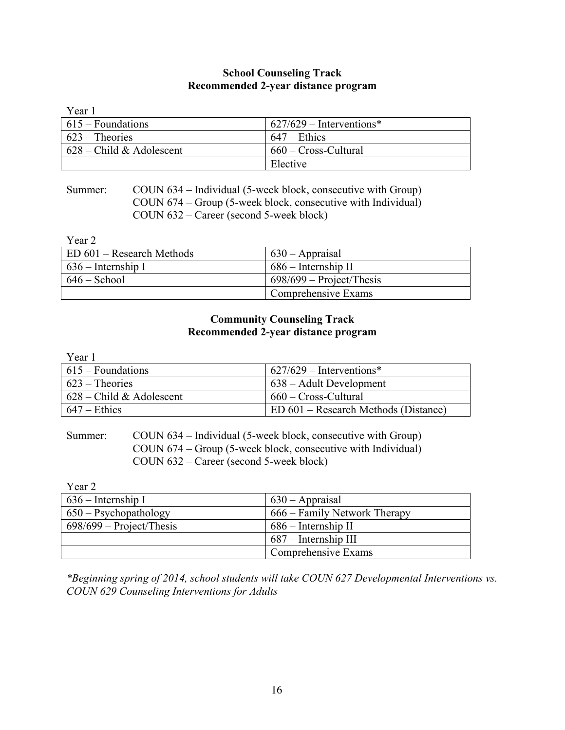# **School Counseling Track Recommended 2-year distance program**

| Year 1                     |                             |
|----------------------------|-----------------------------|
| $615 - Foundations$        | $1627/629$ – Interventions* |
| $623$ – Theories           | $647 -$ Ethics              |
| $628$ – Child & Adolescent | 660 – Cross-Cultural        |
|                            | Elective                    |

Summer: COUN 634 – Individual (5-week block, consecutive with Group) COUN 674 – Group (5-week block, consecutive with Individual) COUN 632 – Career (second 5-week block)

Year 2

| ED 601 – Research Methods | $630 - Appraisal$          |
|---------------------------|----------------------------|
| $1636$ – Internship I     | $686$ – Internship II      |
| $646 -$ School            | $698/699$ – Project/Thesis |
|                           | Comprehensive Exams        |

# **Community Counseling Track Recommended 2-year distance program**

| Year 1                     |                                      |
|----------------------------|--------------------------------------|
| $615 -$ Foundations        | $1627/629$ – Interventions*          |
| $623$ – Theories           | $638 -$ Adult Development            |
| $628$ – Child & Adolescent | 660 – Cross-Cultural                 |
| $647 -$ Ethics             | ED 601 – Research Methods (Distance) |

Summer: COUN 634 – Individual (5-week block, consecutive with Group) COUN 674 – Group (5-week block, consecutive with Individual) COUN 632 – Career (second 5-week block)

Year 2

| $636$ – Internship I           | $630 - Appraisal$            |
|--------------------------------|------------------------------|
| $650 - \text{Psychopathology}$ | 666 – Family Network Therapy |
| $698/699$ – Project/Thesis     | $686$ – Internship II        |
|                                | $687 - Internship III$       |
|                                | Comprehensive Exams          |